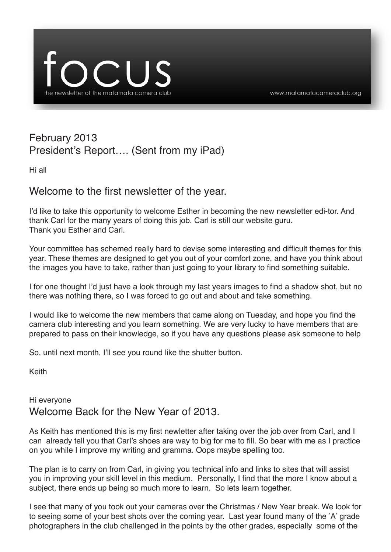

# February 2013 President's Report…. (Sent from my iPad)

Hi all

# Welcome to the first newsletter of the year.

I'd like to take this opportunity to welcome Esther in becoming the new newsletter edi-tor. And thank Carl for the many years of doing this job. Carl is still our website guru. Thank you Esther and Carl.

Your committee has schemed really hard to devise some interesting and difficult themes for this year. These themes are designed to get you out of your comfort zone, and have you think about the images you have to take, rather than just going to your library to find something suitable.

I for one thought I'd just have a look through my last years images to find a shadow shot, but no there was nothing there, so I was forced to go out and about and take something.

I would like to welcome the new members that came along on Tuesday, and hope you find the camera club interesting and you learn something. We are very lucky to have members that are prepared to pass on their knowledge, so if you have any questions please ask someone to help

So, until next month, I'll see you round like the shutter button.

Keith

## Hi everyone Welcome Back for the New Year of 2013.

As Keith has mentioned this is my first newletter after taking over the job over from Carl, and I can already tell you that Carl's shoes are way to big for me to fill. So bear with me as I practice on you while I improve my writing and gramma. Oops maybe spelling too.

The plan is to carry on from Carl, in giving you technical info and links to sites that will assist you in improving your skill level in this medium. Personally, I find that the more I know about a subject, there ends up being so much more to learn. So lets learn together.

I see that many of you took out your cameras over the Christmas / New Year break. We look for to seeing some of your best shots over the coming year. Last year found many of the 'A' grade photographers in the club challenged in the points by the other grades, especially some of the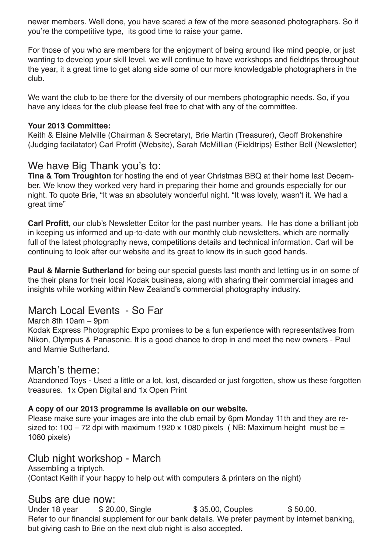newer members. Well done, you have scared a few of the more seasoned photographers. So if you're the competitive type, its good time to raise your game.

For those of you who are members for the enjoyment of being around like mind people, or just wanting to develop your skill level, we will continue to have workshops and fieldtrips throughout the year, it a great time to get along side some of our more knowledgable photographers in the club.

We want the club to be there for the diversity of our members photographic needs. So, if you have any ideas for the club please feel free to chat with any of the committee.

#### **Your 2013 Committee:**

Keith & Elaine Melville (Chairman & Secretary), Brie Martin (Treasurer), Geoff Brokenshire (Judging facilatator) Carl Profitt (Website), Sarah McMillian (Fieldtrips) Esther Bell (Newsletter)

#### We have Big Thank you's to:

**Tina & Tom Troughton** for hosting the end of year Christmas BBQ at their home last December. We know they worked very hard in preparing their home and grounds especially for our night. To quote Brie, "It was an absolutely wonderful night. "It was lovely, wasn't it. We had a great time"

**Carl Profitt,** our club's Newsletter Editor for the past number years. He has done a brilliant job in keeping us informed and up-to-date with our monthly club newsletters, which are normally full of the latest photography news, competitions details and technical information. Carl will be continuing to look after our website and its great to know its in such good hands.

**Paul & Marnie Sutherland** for being our special guests last month and letting us in on some of the their plans for their local Kodak business, along with sharing their commercial images and insights while working within New Zealand's commercial photography industry.

## March Local Events - So Far

#### March 8th 10am – 9pm

Kodak Express Photographic Expo promises to be a fun experience with representatives from Nikon, Olympus & Panasonic. It is a good chance to drop in and meet the new owners - Paul and Marnie Sutherland.

#### March's theme:

Abandoned Toys - Used a little or a lot, lost, discarded or just forgotten, show us these forgotten treasures. 1x Open Digital and 1x Open Print

#### **A copy of our 2013 programme is available on our website.**

Please make sure your images are into the club email by 6pm Monday 11th and they are resized to: 100 – 72 dpi with maximum 1920 x 1080 pixels (NB: Maximum height must be = 1080 pixels)

#### Club night workshop - March

Assembling a triptych. (Contact Keith if your happy to help out with computers & printers on the night)

Subs are due now:<br>Under 18 year \$20.00, Single \$ 35.00, Couples \$ 50.00. Refer to our financial supplement for our bank details. We prefer payment by internet banking, but giving cash to Brie on the next club night is also accepted.